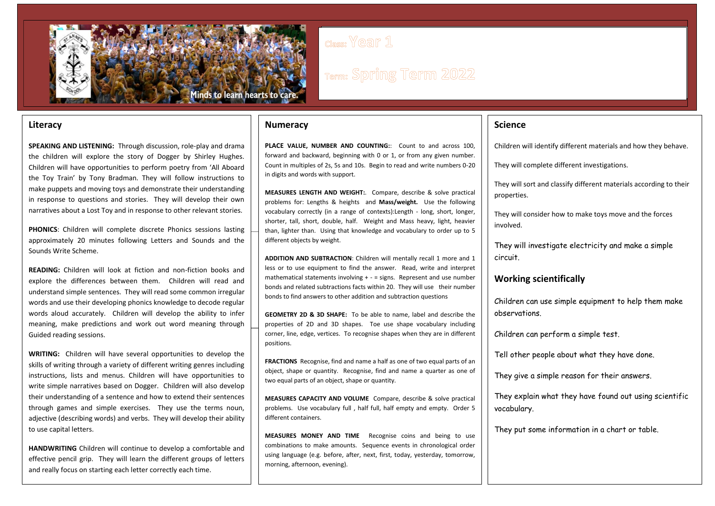

## class: Year 1

# **Term: Spring Term 2022**

## **Literacy**

**SPEAKING AND LISTENING:** Through discussion, role-play and drama the children will explore the story of Dogger by Shirley Hughes. Children will have opportunities to perform poetry from 'All Aboard the Toy Train' by Tony Bradman. They will follow instructions to make puppets and moving toys and demonstrate their understanding in response to questions and stories. They will develop their own narratives about a Lost Toy and in response to other relevant stories.

**PHONICS**: Children will complete discrete Phonics sessions lasting approximately 20 minutes following Letters and Sounds and the Sounds Write Scheme.

**READING:** Children will look at fiction and non-fiction books and explore the differences between them. Children will read and understand simple sentences. They will read some common irregular words and use their developing phonics knowledge to decode regular words aloud accurately. Children will develop the ability to infer meaning, make predictions and work out word meaning through Guided reading sessions.

**WRITING:** Children will have several opportunities to develop the skills of writing through a variety of different writing genres including instructions, lists and menus. Children will have opportunities to write simple narratives based on Dogger. Children will also develop their understanding of a sentence and how to extend their sentences through games and simple exercises. They use the terms noun, adjective (describing words) and verbs. They will develop their ability to use capital letters.

**HANDWRITING** Children will continue to develop a comfortable and effective pencil grip. They will learn the different groups of letters and really focus on starting each letter correctly each time.

## **Numeracy**

**PLACE VALUE, NUMBER AND COUNTING:**: Count to and across 100, forward and backward, beginning with 0 or 1, or from any given number. Count in multiples of 2s, 5s and 10s. Begin to read and write numbers 0-20 in digits and words with support.

**MEASURES LENGTH AND WEIGHT:**. Compare, describe & solve practical problems for: Lengths & heights and **Mass/weight.** Use the following vocabulary correctly (in a range of contexts):Length - long, short, longer, shorter, tall, short, double, half. Weight and Mass heavy, light, heavier than, lighter than. Using that knowledge and vocabulary to order up to 5 different objects by weight.

**ADDITION AND SUBTRACTION**: Children will mentally recall 1 more and 1 less or to use equipment to find the answer. Read, write and interpret mathematical statements involving  $+ -$  = signs. Represent and use number bonds and related subtractions facts within 20. They will use their number bonds to find answers to other addition and subtraction questions

**GEOMETRY 2D & 3D SHAPE:** To be able to name, label and describe the properties of 2D and 3D shapes. Toe use shape vocabulary including corner, line, edge, vertices. To recognise shapes when they are in different positions.

**FRACTIONS** Recognise, find and name a half as one of two equal parts of an object, shape or quantity. Recognise, find and name a quarter as one of two equal parts of an object, shape or quantity.

**MEASURES CAPACITY AND VOLUME** Compare, describe & solve practical problems. Use vocabulary full , half full, half empty and empty. Order 5 different containers.

**MEASURES MONEY AND TIME** Recognise coins and being to use combinations to make amounts. Sequence events in chronological order using language (e.g. before, after, next, first, today, yesterday, tomorrow, morning, afternoon, evening).

## **Science**

Children will identify different materials and how they behave.

They will complete different investigations.

They will sort and classify different materials according to their properties.

They will consider how to make toys move and the forces involved.

They will investigate electricity and make a simple circuit.

### **Working scientifically**

Children can use simple equipment to help them make observations.

Children can perform a simple test.

Tell other people about what they have done.

They give a simple reason for their answers.

They explain what they have found out using scientific vocabulary.

They put some information in a chart or table.